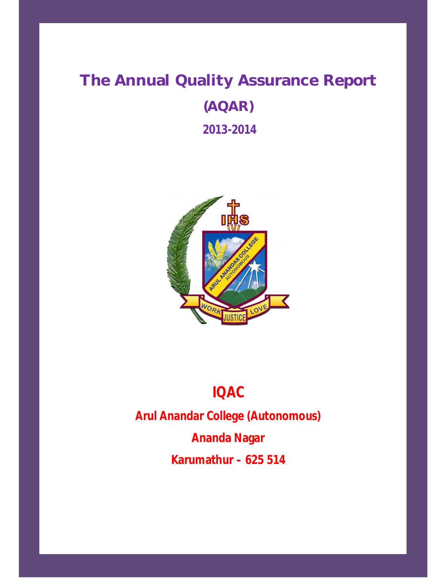# **The Annual Quality Assurance Report (AQAR) 2013-2014**



# **IQAC**

**Arul Anandar College (Autonomous) Ananda Nagar Karumathur – 625 514**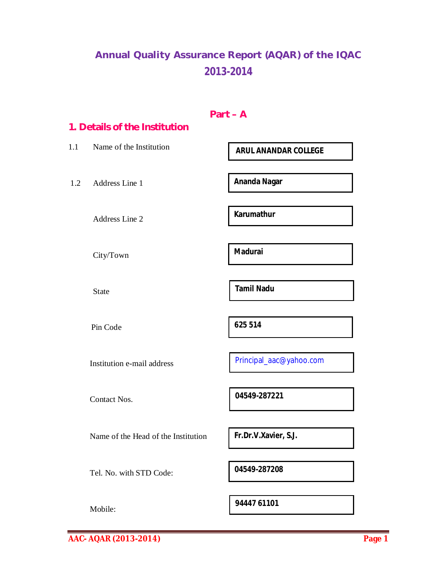## **Annual Quality Assurance Report (AQAR) of the IQAC 2013-2014**

|     | 1. Details of the Institution       | $Part - A$                  |
|-----|-------------------------------------|-----------------------------|
| 1.1 | Name of the Institution             | <b>ARUL ANANDAR COLLEGE</b> |
| 1.2 | Address Line 1                      | <b>Ananda Nagar</b>         |
|     | Address Line 2                      | <b>Karumathur</b>           |
|     | City/Town                           | <b>Madurai</b>              |
|     | <b>State</b>                        | <b>Tamil Nadu</b>           |
|     | Pin Code                            | 625 514                     |
|     | Institution e-mail address          | Principal_aac@yahoo.com     |
|     | <b>Contact Nos.</b>                 | 04549-287221                |
|     | Name of the Head of the Institution | Fr.Dr.V.Xavier, S.J.        |
|     | Tel. No. with STD Code:             | 04549-287208                |
|     | Mobile:                             | 94447 61101                 |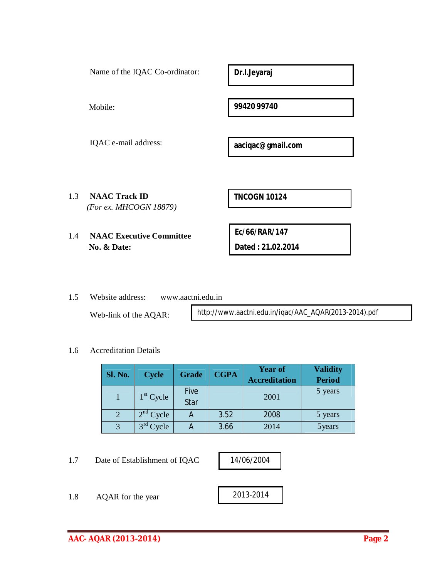| 99420 99740<br>Mobile:<br>IQAC e-mail address:<br>aaciqac@gmail.com | Name of the IQAC Co-ordinator: | Dr.I.Jeyaraj |
|---------------------------------------------------------------------|--------------------------------|--------------|
|                                                                     |                                |              |
|                                                                     |                                |              |
| 1.3<br><b>NAAC Track ID</b><br><b>TNCOGN 10124</b>                  |                                |              |
| (For ex. MHCOGN 18879)                                              |                                |              |
| Ec/66/RAR/147<br><b>NAAC Executive Committee</b><br>1.4             |                                |              |
| Dated: 21.02.2014<br>No. & Date:                                    |                                |              |

1.5 Website address: www.aactni.edu.in

Web-link of the AQAR:

http://www.aactni.edu.in/iqac/AAC\_AQAR(2013-2014).pdf

#### 1.6 Accreditation Details

| <b>Sl. No.</b> | <b>Cycle</b> | Grade               | <b>CGPA</b> | <b>Year of</b><br><b>Accreditation</b> | <b>Validity</b><br><b>Period</b> |
|----------------|--------------|---------------------|-------------|----------------------------------------|----------------------------------|
|                | $1st$ Cycle  | <b>Five</b><br>Star |             | 2001                                   | 5 years                          |
| $\overline{2}$ | $2nd$ Cycle  | A                   | 3.52        | 2008                                   | 5 years                          |
| 3              | $3rd$ Cycle  | A                   | 3.66        | 2014                                   | 5 years                          |

1.7 Date of Establishment of IQAC

14/06/2004

1.8 AQAR for the year 2013-2014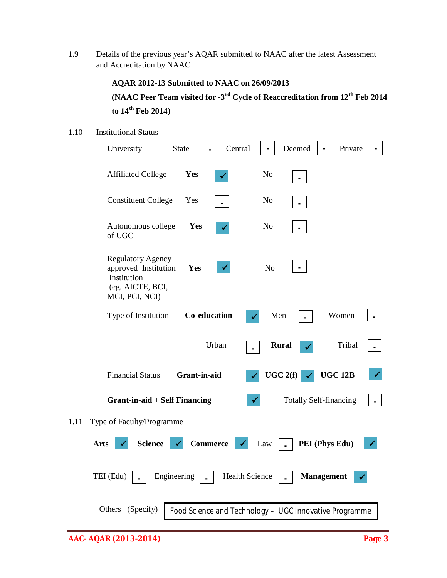1.9 Details of the previous year's AQAR submitted to NAAC after the latest Assessment and Accreditation by NAAC

## **AQAR 2012-13 Submitted to NAAC on 26/09/2013**

## **(NAAC Peer Team visited for -3 rd Cycle of Reaccreditation from 12th Feb 2014 to 14 th Feb 2014)**

#### 1.10 Institutional Status

| University                                                                                            | Central<br><b>State</b> | Deemed                                                 | Private        |
|-------------------------------------------------------------------------------------------------------|-------------------------|--------------------------------------------------------|----------------|
| <b>Affiliated College</b>                                                                             | Yes                     | N <sub>o</sub>                                         |                |
| <b>Constituent College</b>                                                                            | Yes                     | N <sub>o</sub>                                         |                |
| Autonomous college<br>of UGC                                                                          | Yes                     | N <sub>0</sub>                                         |                |
| <b>Regulatory Agency</b><br>approved Institution<br>Institution<br>(eg. AICTE, BCI,<br>MCI, PCI, NCI) | Yes                     | N <sub>o</sub>                                         |                |
| Type of Institution                                                                                   | Co-education            | Men                                                    | Women          |
|                                                                                                       | Urban                   | <b>Rural</b>                                           | Tribal         |
| <b>Financial Status</b>                                                                               | Grant-in-aid            | UGC2(f)                                                | <b>UGC 12B</b> |
| <b>Grant-in-aid + Self Financing</b>                                                                  |                         | <b>Totally Self-financing</b>                          |                |
| Type of Faculty/Programme<br>1.11                                                                     |                         |                                                        |                |
| <b>Science</b><br><b>Arts</b>                                                                         | <b>Commerce</b>         | Law                                                    | PEI (Phys Edu) |
| TEI (Edu)<br>Engineering                                                                              |                         | Health Science<br><b>Management</b>                    |                |
| Others (Specify)                                                                                      |                         | Food Science and Technology - UGC Innovative Programme |                |
| AAC-AQAR (2013-2014)                                                                                  |                         |                                                        | Page 3         |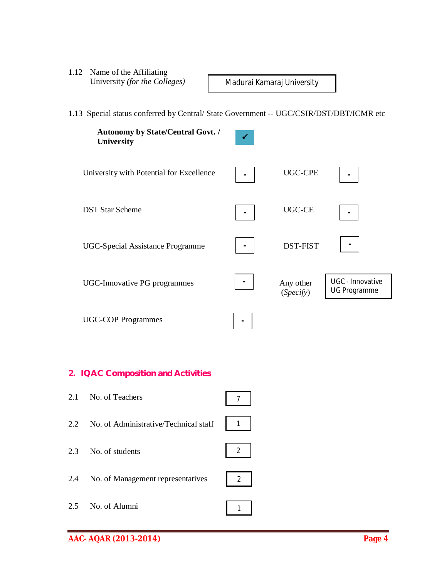1.12 Name of the Affiliating University *(for the Colleges)*

Madurai Kamaraj University

1.13 Special status conferred by Central/ State Government -- UGC/CSIR/DST/DBT/ICMR etc



## **2. IQAC Composition and Activities**

| 2.1 | No. of Teachers                       |                  |
|-----|---------------------------------------|------------------|
| 2.2 | No. of Administrative/Technical staff | $\overline{1}$   |
| 2.3 | No. of students                       | $\overline{2}$   |
| 2.4 | No. of Management representatives     | $2 \overline{ }$ |
| 2.5 | No. of Alumni                         |                  |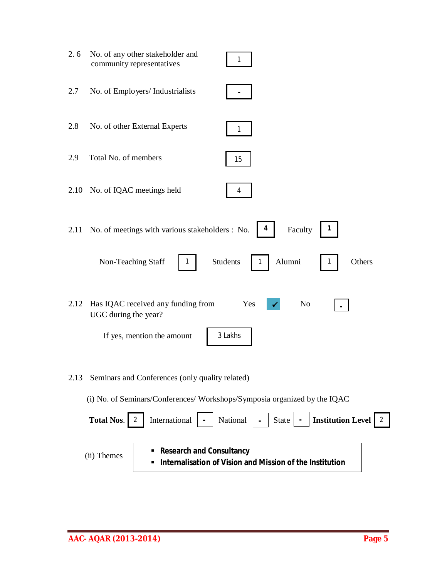| 2.6  | No. of any other stakeholder and<br>community representatives             | 1                                                        |
|------|---------------------------------------------------------------------------|----------------------------------------------------------|
| 2.7  | No. of Employers/ Industrialists                                          |                                                          |
| 2.8  | No. of other External Experts                                             |                                                          |
| 2.9  | Total No. of members                                                      | 15                                                       |
| 2.10 | No. of IQAC meetings held                                                 | 4                                                        |
| 2.11 | No. of meetings with various stakeholders : No.                           | 4<br>Faculty                                             |
|      | Non-Teaching Staff                                                        | Students<br>Alumni<br>Others                             |
| 2.12 | Has IQAC received any funding from<br>UGC during the year?                | N <sub>o</sub><br>Yes                                    |
|      | If yes, mention the amount                                                | 3 Lakhs                                                  |
| 2.13 | Seminars and Conferences (only quality related)                           |                                                          |
|      | (i) No. of Seminars/Conferences/ Workshops/Symposia organized by the IQAC |                                                          |
|      | <b>Total Nos.</b><br>International<br>2                                   | National<br><b>Institution Level</b><br>State<br>2       |
|      | <b>Research and Consultancy</b><br>(ii) Themes                            | Internalisation of Vision and Mission of the Institution |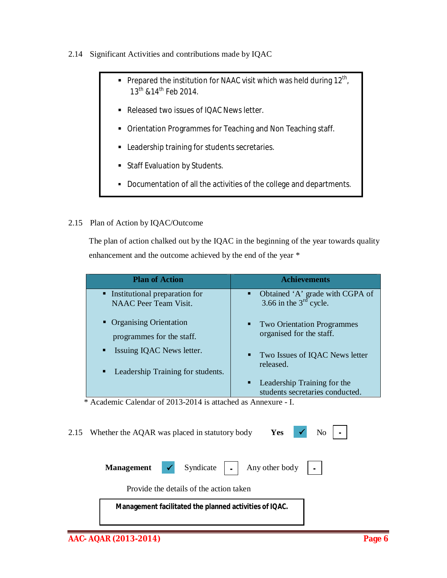#### 2.14 Significant Activities and contributions made by IQAC

- Prepared the institution for NAAC visit which was held during  $12<sup>th</sup>$ ,  $13^{th}$  & 14<sup>th</sup> Feb 2014.
- Released two issues of IQAC News letter.
- Orientation Programmes for Teaching and Non Teaching staff.
- **EXECUTE:** Leadership training for students secretaries.
- **Staff Evaluation by Students.**
- Documentation of all the activities of the college and departments.

## 2.15 Plan of Action by IQAC/Outcome

 The plan of action chalked out by the IQAC in the beginning of the year towards quality enhancement and the outcome achieved by the end of the year \*

| <b>Plan of Action</b>                                                    | <b>Achievements</b>                                                                       |
|--------------------------------------------------------------------------|-------------------------------------------------------------------------------------------|
| • Institutional preparation for<br><b>NAAC</b> Peer Team Visit.          | Obtained 'A' grade with CGPA of<br>3.66 in the 3 <sup>rd</sup> cycle.<br>$\blacksquare$ . |
| • Organising Orientation<br>programmes for the staff.                    | <b>Two Orientation Programmes</b><br>$\mathbf{H}^{\prime}$<br>organised for the staff.    |
| Issuing IQAC News letter.<br>п<br>Leadership Training for students.<br>п | • Two Issues of IQAC News letter<br>released.                                             |
|                                                                          | Leadership Training for the<br>٠<br>students secretaries conducted.                       |

\* Academic Calendar of 2013-2014 is attached as Annexure - I.

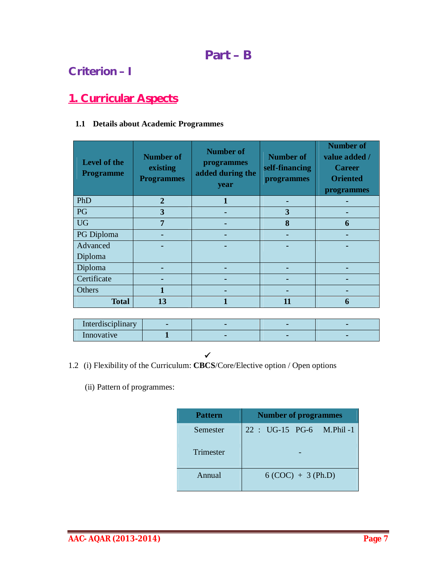## **Part – B**

## **Criterion – I**

## **1. Curricular Aspects**

## **1.1 Details about Academic Programmes**

| Level of the<br><b>Programme</b> | <b>Number of</b><br>existing<br><b>Programmes</b> | <b>Number of</b><br>programmes<br>added during the<br>year | <b>Number of</b><br>self-financing<br>programmes | <b>Number of</b><br>value added /<br><b>Career</b><br><b>Oriented</b><br>programmes |
|----------------------------------|---------------------------------------------------|------------------------------------------------------------|--------------------------------------------------|-------------------------------------------------------------------------------------|
| PhD                              | $\overline{2}$                                    |                                                            |                                                  |                                                                                     |
| PG                               | 3                                                 |                                                            | 3                                                |                                                                                     |
| <b>UG</b>                        | $\overline{7}$                                    |                                                            | 8                                                | 6                                                                                   |
| PG Diploma                       |                                                   |                                                            |                                                  |                                                                                     |
| Advanced                         |                                                   |                                                            |                                                  |                                                                                     |
| Diploma                          |                                                   |                                                            |                                                  |                                                                                     |
| Diploma                          |                                                   |                                                            |                                                  |                                                                                     |
| Certificate                      |                                                   |                                                            |                                                  |                                                                                     |
| Others                           |                                                   |                                                            |                                                  |                                                                                     |
| <b>Total</b>                     | 13                                                |                                                            | 11                                               | 6                                                                                   |

| $\cdots$<br>Interdisciplinary |  |  |
|-------------------------------|--|--|
| Innovative                    |  |  |

- *<u><u><b> <i><u></u>*</u></u> 1.2 (i) Flexibility of the Curriculum: **CBCS**/Core/Elective option / Open options
	- (ii) Pattern of programmes:

| <b>Pattern</b> | <b>Number of programmes</b> |  |  |  |  |  |
|----------------|-----------------------------|--|--|--|--|--|
| Semester       | 22 : UG-15 PG-6 M.Phil-1    |  |  |  |  |  |
| Trimester      |                             |  |  |  |  |  |
| Annual         | $6 (COC) + 3 (Ph.D)$        |  |  |  |  |  |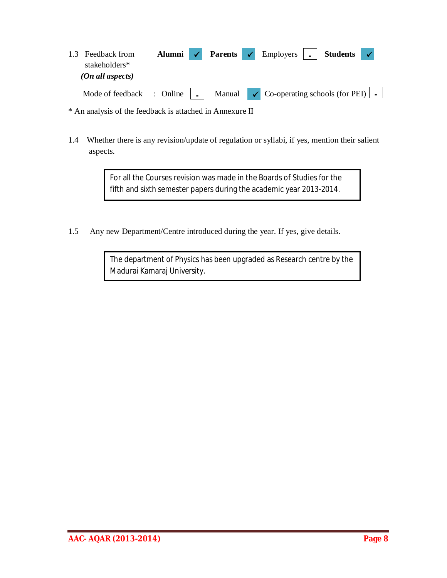| 1.3 Feedback from<br>stakeholders*<br>(On all aspects)                                                                      | Alumni $\checkmark$ |  | <b>Parents </b>   Employers     Students   / |  |  |
|-----------------------------------------------------------------------------------------------------------------------------|---------------------|--|----------------------------------------------|--|--|
| Mode of feedback : Online $\vert \cdot \vert$ Manual $\vert \cdot \vert$ Co-operating schools (for PEI) $\vert \cdot \vert$ |                     |  |                                              |  |  |

\* An analysis of the feedback is attached in Annexure II

1.4 Whether there is any revision/update of regulation or syllabi, if yes, mention their salient aspects.

> For all the Courses revision was made in the Boards of Studies for the fifth and sixth semester papers during the academic year 2013-2014.

1.5 Any new Department/Centre introduced during the year. If yes, give details.

The department of Physics has been upgraded as Research centre by the Madurai Kamaraj University.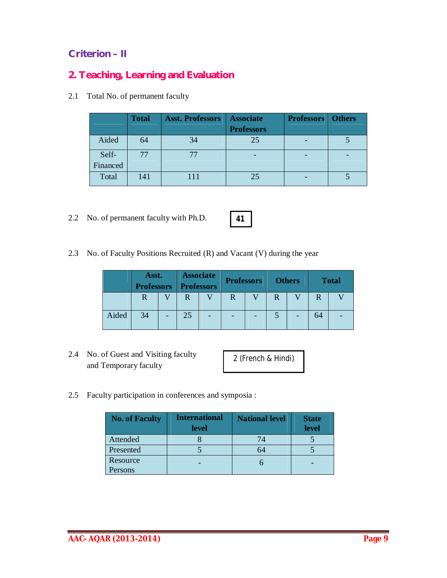## **Criterion – II**

## **2. Teaching, Learning and Evaluation**

2.1 Total No. of permanent faculty

|          | <b>Total</b> | <b>Asst. Professors</b> | <b>Associate</b><br><b>Professors</b> | <b>Professors</b>   Others |  |
|----------|--------------|-------------------------|---------------------------------------|----------------------------|--|
| Aided    | 64           | 34                      | 25                                    |                            |  |
| Self-    |              |                         |                                       |                            |  |
| Financed |              |                         |                                       |                            |  |
| Total    | 141          |                         | 25                                    |                            |  |

2.2 No. of permanent faculty with Ph.D.

2.3 No. of Faculty Positions Recruited (R) and Vacant (V) during the year

|       | Asst.<br><b>Professors Professors</b> |   | <b>Associate</b> | <b>Professors</b> |  | <b>Others</b> |    | <b>Total</b> |
|-------|---------------------------------------|---|------------------|-------------------|--|---------------|----|--------------|
|       | R                                     | R |                  | R                 |  |               |    |              |
| Aided | 34                                    |   |                  |                   |  |               | 64 |              |

2.4 No. of Guest and Visiting faculty and Temporary faculty

2 (French & Hindi)

2.5 Faculty participation in conferences and symposia :

| <b>No. of Faculty</b> | <b>International</b><br><b>level</b> | <b>National level</b> | <b>State</b><br>level |
|-----------------------|--------------------------------------|-----------------------|-----------------------|
| Attended              |                                      | 74                    |                       |
| Presented             |                                      |                       |                       |
| Resource              |                                      |                       |                       |
| Persons               |                                      |                       |                       |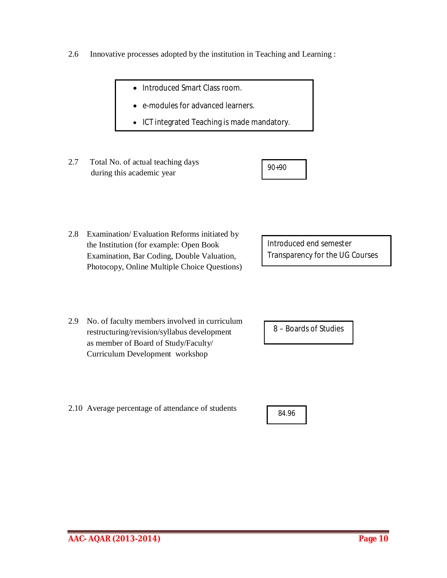- 2.6 Innovative processes adopted by the institution in Teaching and Learning :
	- Introduced Smart Class room.
	- e-modules for advanced learners.
	- ICT integrated Teaching is made mandatory.
- 2.7 Total No. of actual teaching days during this academic year

| 90+90 |  |
|-------|--|
|       |  |

2.8 Examination/ Evaluation Reforms initiated by the Institution (for example: Open Book Examination, Bar Coding, Double Valuation, Photocopy, Online Multiple Choice Questions)

Introduced end semester Transparency for the UG Courses

2.9 No. of faculty members involved in curriculum restructuring/revision/syllabus development as member of Board of Study/Faculty/ Curriculum Development workshop

2.10 Average percentage of attendance of students

8 – Boards of Studies

84.96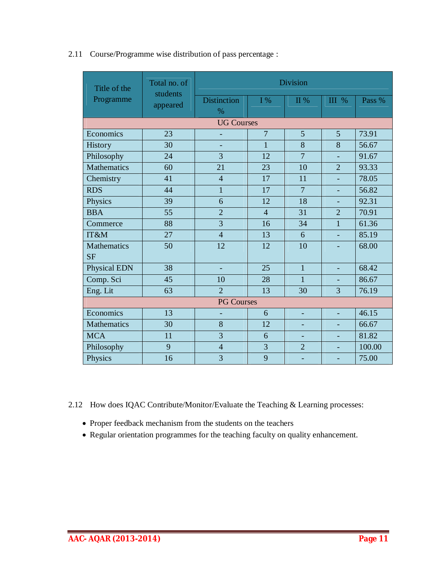| 2.11 Course/Programme wise distribution of pass percentage : |  |  |
|--------------------------------------------------------------|--|--|
|                                                              |  |  |

| Title of the                    | Total no. of<br>students | <b>Division</b>          |                |                |                          |        |  |  |  |
|---------------------------------|--------------------------|--------------------------|----------------|----------------|--------------------------|--------|--|--|--|
| Programme                       | appeared                 | <b>Distinction</b>       | $I\%$          | II %           | <b>III</b> %             | Pass % |  |  |  |
|                                 |                          | $\%$                     |                |                |                          |        |  |  |  |
|                                 | <b>UG Courses</b>        |                          |                |                |                          |        |  |  |  |
| Economics                       | 23                       | $\overline{\phantom{a}}$ | $\overline{7}$ | 5              | 5                        | 73.91  |  |  |  |
| <b>History</b>                  | 30                       |                          | $\overline{1}$ | 8              | 8                        | 56.67  |  |  |  |
| Philosophy                      | 24                       | 3                        | 12             | $\overline{7}$ |                          | 91.67  |  |  |  |
| <b>Mathematics</b>              | 60                       | 21                       | 23             | 10             | $\overline{2}$           | 93.33  |  |  |  |
| Chemistry                       | 41                       | $\overline{4}$           | 17             | 11             |                          | 78.05  |  |  |  |
| <b>RDS</b>                      | 44                       | $\mathbf{1}$             | 17             | $\overline{7}$ |                          | 56.82  |  |  |  |
| Physics                         | 39                       | 6                        | 12             | 18             | $\blacksquare$           | 92.31  |  |  |  |
| <b>BBA</b>                      | 55                       | $\overline{2}$           | $\overline{4}$ | 31             | $\overline{2}$           | 70.91  |  |  |  |
| Commerce                        | 88                       | $\overline{3}$           | 16             | 34             | $\mathbf{1}$             | 61.36  |  |  |  |
| IT&M                            | 27                       | $\overline{4}$           | 13             | 6              |                          | 85.19  |  |  |  |
| <b>Mathematics</b><br><b>SF</b> | 50                       | 12                       | 12             | 10             |                          | 68.00  |  |  |  |
| <b>Physical EDN</b>             | 38                       | ÷,                       | 25             | $\overline{1}$ | $\blacksquare$           | 68.42  |  |  |  |
| Comp. Sci                       | 45                       | 10                       | 28             | 1              |                          | 86.67  |  |  |  |
| Eng. Lit                        | 63                       | $\overline{2}$           | 13             | 30             | 3                        | 76.19  |  |  |  |
|                                 |                          | <b>PG Courses</b>        |                |                |                          |        |  |  |  |
| Economics                       | 13                       | $\overline{\phantom{a}}$ | 6              | ÷,             |                          | 46.15  |  |  |  |
| <b>Mathematics</b>              | 30                       | 8                        | 12             |                |                          | 66.67  |  |  |  |
| <b>MCA</b>                      | 11                       | 3                        | 6              | ÷,             |                          | 81.82  |  |  |  |
| Philosophy                      | 9                        | $\overline{4}$           | $\overline{3}$ | $\overline{2}$ | $\blacksquare$           | 100.00 |  |  |  |
| Physics                         | 16                       | 3                        | 9              |                | $\overline{\phantom{a}}$ | 75.00  |  |  |  |

2.12 How does IQAC Contribute/Monitor/Evaluate the Teaching & Learning processes:

- Proper feedback mechanism from the students on the teachers
- Regular orientation programmes for the teaching faculty on quality enhancement.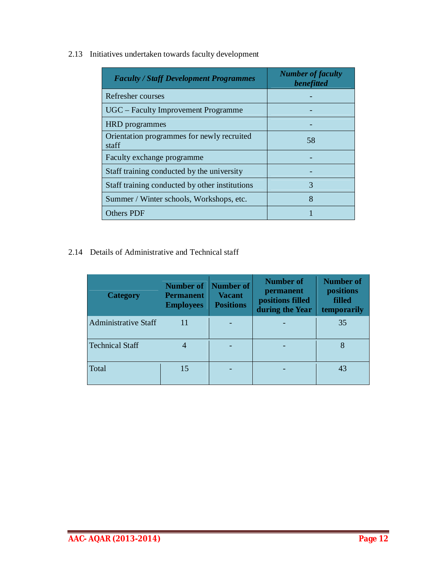2.13 Initiatives undertaken towards faculty development

| <b>Faculty / Staff Development Programmes</b>       | <b>Number of faculty</b><br>benefitted |
|-----------------------------------------------------|----------------------------------------|
| Refresher courses                                   |                                        |
| UGC – Faculty Improvement Programme                 |                                        |
| <b>HRD</b> programmes                               |                                        |
| Orientation programmes for newly recruited<br>staff | 58                                     |
| Faculty exchange programme                          |                                        |
| Staff training conducted by the university          |                                        |
| Staff training conducted by other institutions      | 3                                      |
| Summer / Winter schools, Workshops, etc.            | 8                                      |
| Others PDF                                          |                                        |

2.14 Details of Administrative and Technical staff

| <b>Category</b>             | <b>Number of</b><br><b>Permanent</b><br><b>Employees</b> | Number of<br><b>Vacant</b><br><b>Positions</b> | Number of<br>permanent<br>positions filled<br>during the Year | <b>Number of</b><br>positions<br>filled<br>temporarily |
|-----------------------------|----------------------------------------------------------|------------------------------------------------|---------------------------------------------------------------|--------------------------------------------------------|
| <b>Administrative Staff</b> | 11                                                       |                                                |                                                               | 35                                                     |
| <b>Technical Staff</b>      |                                                          |                                                |                                                               |                                                        |
| Total                       | 15                                                       |                                                |                                                               | 43                                                     |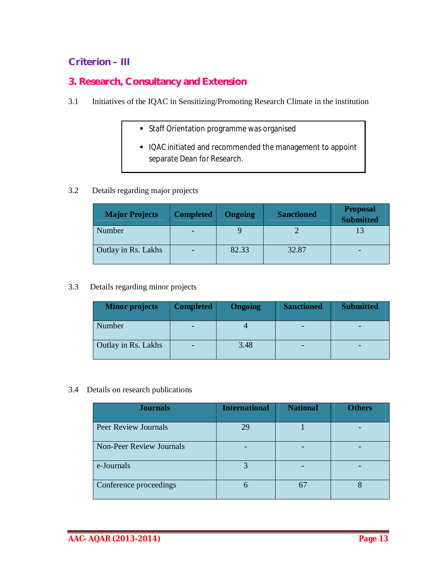## **Criterion – III**

## **3. Research, Consultancy and Extension**

- 3.1 Initiatives of the IQAC in Sensitizing/Promoting Research Climate in the institution
	- **Staff Orientation programme was organised**
	- IQAC initiated and recommended the management to appoint separate Dean for Research.

## 3.2 Details regarding major projects

| <b>Major Projects</b> | <b>Completed</b> | <b>Ongoing</b> | <b>Sanctioned</b> | <b>Proposal</b><br><b>Submitted</b> |
|-----------------------|------------------|----------------|-------------------|-------------------------------------|
| Number                |                  |                |                   |                                     |
| Outlay in Rs. Lakhs   |                  | 82.33          | 32.87             |                                     |

## 3.3 Details regarding minor projects

| <b>Minor projects</b> | <b>Completed</b> | Ongoing | <b>Sanctioned</b> | <b>Submitted</b> |
|-----------------------|------------------|---------|-------------------|------------------|
| Number                |                  |         |                   |                  |
| Outlay in Rs. Lakhs   |                  | 3.48    |                   |                  |

#### 3.4 Details on research publications

| <b>Journals</b>                 | <b>International</b> | <b>National</b> | <b>Others</b> |
|---------------------------------|----------------------|-----------------|---------------|
| <b>Peer Review Journals</b>     | 29                   |                 |               |
| <b>Non-Peer Review Journals</b> |                      |                 |               |
| e-Journals                      |                      |                 |               |
| Conference proceedings          | h                    | 67              |               |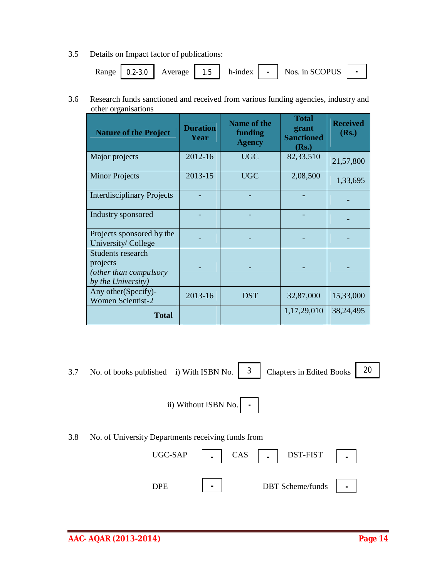3.5 Details on Impact factor of publications:

|  |  | Range   0.2-3.0   Average   1.5   h-index |  |  |  | $\vert$ - $\vert$ Nos. in SCOPUS | ٠ |  |
|--|--|-------------------------------------------|--|--|--|----------------------------------|---|--|
|--|--|-------------------------------------------|--|--|--|----------------------------------|---|--|

3.6 Research funds sanctioned and received from various funding agencies, industry and other organisations

| <b>Nature of the Project</b>                                                         | <b>Duration</b><br>Year | <b>Name of the</b><br>funding<br><b>Agency</b> | <b>Total</b><br>grant<br><b>Sanctioned</b><br>(Rs.) | <b>Received</b><br>(Rs.) |
|--------------------------------------------------------------------------------------|-------------------------|------------------------------------------------|-----------------------------------------------------|--------------------------|
| Major projects                                                                       | 2012-16                 | <b>UGC</b>                                     | 82,33,510                                           | 21,57,800                |
| <b>Minor Projects</b>                                                                | 2013-15                 | <b>UGC</b>                                     | 2,08,500                                            | 1,33,695                 |
| <b>Interdisciplinary Projects</b>                                                    |                         |                                                |                                                     |                          |
| Industry sponsored                                                                   |                         |                                                |                                                     |                          |
| Projects sponsored by the<br>University/ College                                     |                         |                                                |                                                     |                          |
| <b>Students research</b><br>projects<br>(other than compulsory<br>by the University) |                         |                                                |                                                     |                          |
| Any other (Specify)-<br><b>Women Scientist-2</b>                                     | 2013-16                 | <b>DST</b>                                     | 32,87,000                                           | 15,33,000                |
| <b>Total</b>                                                                         |                         |                                                | 1,17,29,010                                         | 38,24,495                |

3.7 No. of books published i) With ISBN No.  $\begin{bmatrix} 3 \end{bmatrix}$ 

Chapters in Edited Books | 20

 ii) Without ISBN No. **-**

## 3.8 No. of University Departments receiving funds from

| UGC-SAP | CAS | DST-FIST                |   |
|---------|-----|-------------------------|---|
| JPE     |     | <b>DBT</b> Scheme/funds | - |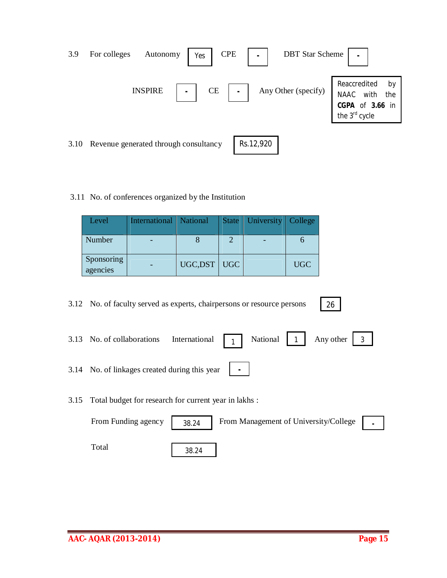| 3.9  | <b>CPE</b><br>For colleges<br>Autonomy<br>Yes | <b>DBT</b> Star Scheme<br>$\blacksquare$ |                                                                                               |
|------|-----------------------------------------------|------------------------------------------|-----------------------------------------------------------------------------------------------|
|      | <b>INSPIRE</b><br>CE                          | Any Other (specify)<br>$\blacksquare$    | Reaccredited<br>by<br>with<br>NAAC<br>the<br><b>CGPA</b> of <b>3.66</b> in the $3^{rd}$ cycle |
| 3.10 | Revenue generated through consultancy         | Rs.12,920                                |                                                                                               |

3.11 No. of conferences organized by the Institution

| Level                  | International   National |                | State   University   College |            |
|------------------------|--------------------------|----------------|------------------------------|------------|
| Number                 |                          |                |                              |            |
| Sponsoring<br>agencies |                          | UGC, DST   UGC |                              | <b>UGC</b> |

| 3.12 No. of faculty served as experts, chairpersons or resource persons<br>26                                                     |
|-----------------------------------------------------------------------------------------------------------------------------------|
| 3.13 No. of collaborations International $\begin{bmatrix} 1 \end{bmatrix}$ National $\begin{bmatrix} 1 \end{bmatrix}$ Any other 3 |
| 3.14 No. of linkages created during this year $\parallel$                                                                         |
| 3.15 Total budget for research for current year in lakhs:                                                                         |
|                                                                                                                                   |

From Funding agency | 38.24 | From Management of University/College | . Total 38.24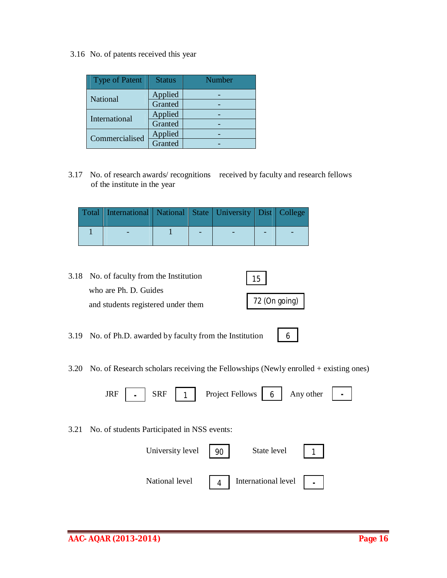3.16 No. of patents received this year

| <b>Type of Patent</b> | <b>Status</b> | Number |
|-----------------------|---------------|--------|
| National              | Applied       |        |
|                       | Granted       |        |
| International         | Applied       |        |
|                       | Granted       |        |
| Commercialised        | Applied       |        |
|                       | Granted       |        |

3.17 No. of research awards/ recognitions received by faculty and research fellows of the institute in the year

| Total   International   National   State   University   Dist   College |  |  |  |
|------------------------------------------------------------------------|--|--|--|
|                                                                        |  |  |  |

- 3.18 No. of faculty from the Institution who are Ph. D. Guides and students registered under them 15 72 (On going)
- 3.19 No. of Ph.D. awarded by faculty from the Institution
- 3.20 No. of Research scholars receiving the Fellowships (Newly enrolled + existing ones)

| JRF   $\blacksquare$   SRF   1   Project Fellows   6   Any other   $\blacksquare$ |
|-----------------------------------------------------------------------------------|
| 3.21 No. of students Participated in NSS events:                                  |
| University level $\begin{array}{ c c }$ 90<br>State level 1                       |

4

**-**

6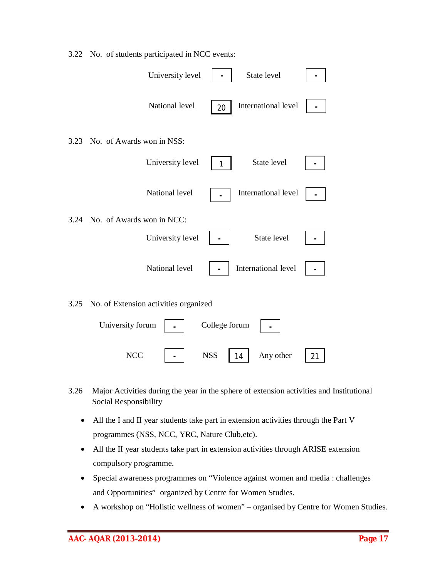|      | University level                      | State level               |  |
|------|---------------------------------------|---------------------------|--|
|      | National level                        | International level<br>20 |  |
| 3.23 | No. of Awards won in NSS:             |                           |  |
|      | University level                      | State level               |  |
|      | National level                        | International level       |  |
|      | 3.24 No. of Awards won in NCC:        |                           |  |
|      | University level                      | State level               |  |
|      | National level                        | International level       |  |
| 3.25 | No. of Extension activities organized |                           |  |
|      | University forum                      | College forum             |  |

3.22 No. of students participated in NCC events:

3.26 Major Activities during the year in the sphere of extension activities and Institutional Social Responsibility

NCC | - | NSS | 14 | Any other | 21

- All the I and II year students take part in extension activities through the Part V programmes (NSS, NCC, YRC, Nature Club,etc).
- All the II year students take part in extension activities through ARISE extension compulsory programme.
- Special awareness programmes on "Violence against women and media : challenges and Opportunities" organized by Centre for Women Studies.
- A workshop on "Holistic wellness of women" organised by Centre for Women Studies.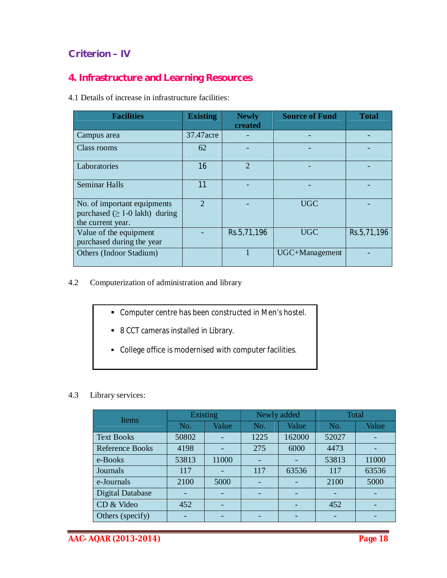## **Criterion – IV**

## **4. Infrastructure and Learning Resources**

4.1 Details of increase in infrastructure facilities:

| <b>Facilities</b>                                                                        | <b>Existing</b>       | <b>Newly</b><br>created | <b>Source of Fund</b> | <b>Total</b> |
|------------------------------------------------------------------------------------------|-----------------------|-------------------------|-----------------------|--------------|
| Campus area                                                                              | 37.47 acre            |                         |                       |              |
| Class rooms                                                                              | 62                    |                         |                       |              |
| Laboratories                                                                             | 16                    | $\mathfrak{D}$          |                       |              |
| <b>Seminar Halls</b>                                                                     | 11                    |                         |                       |              |
| No. of important equipments<br>purchased $( \geq 1$ -0 lakh) during<br>the current year. | $\mathcal{D}_{\cdot}$ |                         | <b>UGC</b>            |              |
| Value of the equipment<br>purchased during the year                                      |                       | Rs.5,71,196             | <b>UGC</b>            | Rs.5,71,196  |
| Others (Indoor Stadium)                                                                  |                       |                         | UGC+Management        |              |

4.2 Computerization of administration and library

- Computer centre has been constructed in Men's hostel.
- 8 CCT cameras installed in Library.
- College office is modernised with computer facilities.

## 4.3 Library services:

| <b>Items</b>            | Existing |       | Newly added |        | Total |       |
|-------------------------|----------|-------|-------------|--------|-------|-------|
|                         | No.      | Value | No.         | Value  | No.   | Value |
| <b>Text Books</b>       | 50802    |       | 1225        | 162000 | 52027 |       |
| <b>Reference Books</b>  | 4198     |       | 275         | 6000   | 4473  |       |
| e-Books                 | 53813    | 11000 |             |        | 53813 | 11000 |
| Journals                | 117      |       | 117         | 63536  | 117   | 63536 |
| e-Journals              | 2100     | 5000  |             |        | 2100  | 5000  |
| <b>Digital Database</b> |          |       |             |        |       |       |
| CD & Video              | 452      |       |             |        | 452   |       |
| Others (specify)        |          |       |             |        |       |       |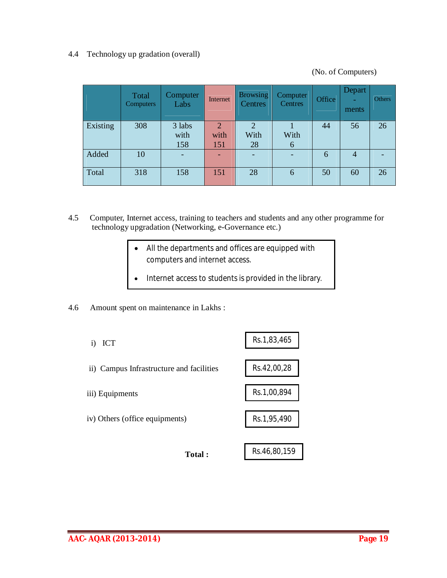## 4.4 Technology up gradation (overall)

(No. of Computers)

|          | Total<br>Computers | <b>Computer</b><br>Labs | Internet       | <b>Browsing</b><br>Centres | Computer<br>Centres | Office | <b>Depart</b><br>ments | Others |
|----------|--------------------|-------------------------|----------------|----------------------------|---------------------|--------|------------------------|--------|
| Existing | 308                | 3 labs                  | $\overline{2}$ | $\overline{2}$             |                     | 44     | 56                     | 26     |
|          |                    | with                    | with           | With                       | With                |        |                        |        |
|          |                    | 158                     | 151            | 28                         | 6                   |        |                        |        |
| Added    | 10                 |                         |                |                            |                     | 6      | $\overline{4}$         |        |
| Total    | 318                | 158                     | 151            | 28                         | 6                   | 50     | 60                     | 26     |

- 4.5 Computer, Internet access, training to teachers and students and any other programme for technology upgradation (Networking, e-Governance etc.)
	- All the departments and offices are equipped with computers and internet access.
	- Internet access to students is provided in the library.
- 4.6 Amount spent on maintenance in Lakhs :

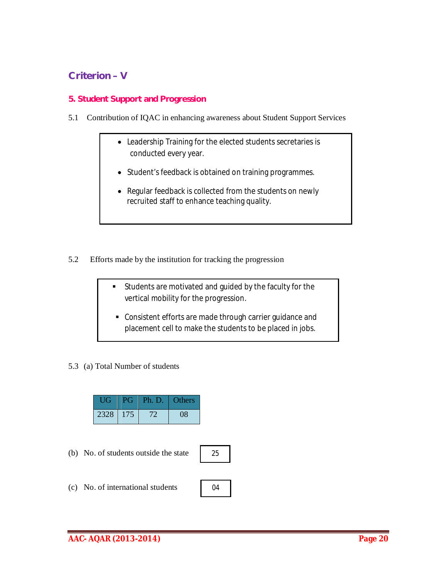## **Criterion – V**

## **5. Student Support and Progression**

- 5.1 Contribution of IQAC in enhancing awareness about Student Support Services
	- Leadership Training for the elected students secretaries is conducted every year.
	- Student's feedback is obtained on training programmes.
	- Regular feedback is collected from the students on newly recruited staff to enhance teaching quality.
- 5.2 Efforts made by the institution for tracking the progression
	- Students are motivated and guided by the faculty for the vertical mobility for the progression.
		- Consistent efforts are made through carrier guidance and placement cell to make the students to be placed in jobs.
- 5.3 (a) Total Number of students

| UG   | PG  | Ph. D. | Others       |
|------|-----|--------|--------------|
| 2328 | 175 | T      | $\mathbf{1}$ |

(b) No. of students outside the state



04

(c) No. of international students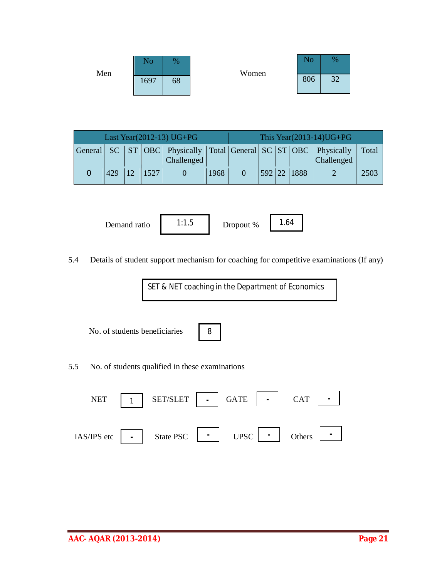| Men | N٥   | $\%$ | Women | . .<br>No | %                     |
|-----|------|------|-------|-----------|-----------------------|
|     | 1697 | 68   |       | 806       | 2 <sub>0</sub><br>ے د |

| Last Year(2012-13) UG+PG |     |  |      |            |      | This Year $(2013-14)$ UG+PG |             |                                                                                    |       |
|--------------------------|-----|--|------|------------|------|-----------------------------|-------------|------------------------------------------------------------------------------------|-------|
|                          |     |  |      |            |      |                             |             | General  SC   ST   OBC   Physically   Total   General   SC   ST   OBC   Physically | Total |
|                          |     |  |      | Challenged |      |                             |             | Challenged                                                                         |       |
|                          | 429 |  | 1527 |            | 1968 |                             | 592 22 1888 |                                                                                    | 2503  |

Demand ratio 1:1.5 Dropout % 1.64

5.4 Details of student support mechanism for coaching for competitive examinations (If any)

SET & NET coaching in the Department of Economics

No. of students beneficiaries

|--|

5.5 No. of students qualified in these examinations

| <b>NET</b>  |                | SET/SLET  | $\blacksquare$ | <b>GATE</b> | <b>CAT</b> |                |
|-------------|----------------|-----------|----------------|-------------|------------|----------------|
|             |                |           |                |             |            |                |
| IAS/IPS etc | $\blacksquare$ | State PSC | $\blacksquare$ | <b>UPSC</b> | Others     | $\blacksquare$ |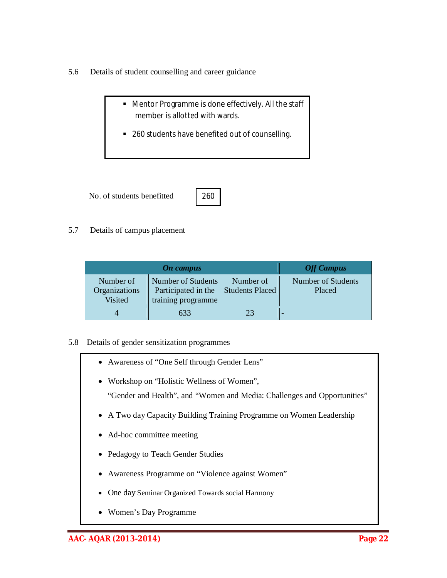- 5.6 Details of student counselling and career guidance
	- Mentor Programme is done effectively. All the staff member is allotted with wards.
	- 260 students have benefited out of counselling.

No. of students benefitted



5.7 Details of campus placement

|                                              | <b>Off Campus</b>                                               |                                     |                              |
|----------------------------------------------|-----------------------------------------------------------------|-------------------------------------|------------------------------|
| Number of<br>Organizations<br><b>Visited</b> | Number of Students<br>Participated in the<br>training programme | Number of<br><b>Students Placed</b> | Number of Students<br>Placed |
|                                              | 633                                                             |                                     |                              |

#### 5.8 Details of gender sensitization programmes

- Awareness of "One Self through Gender Lens"
- Workshop on "Holistic Wellness of Women", "Gender and Health", and "Women and Media: Challenges and Opportunities"
- A Two day Capacity Building Training Programme on Women Leadership
- Ad-hoc committee meeting
- Pedagogy to Teach Gender Studies
- Awareness Programme on "Violence against Women"
- One day Seminar Organized Towards social Harmony
- Women's Day Programme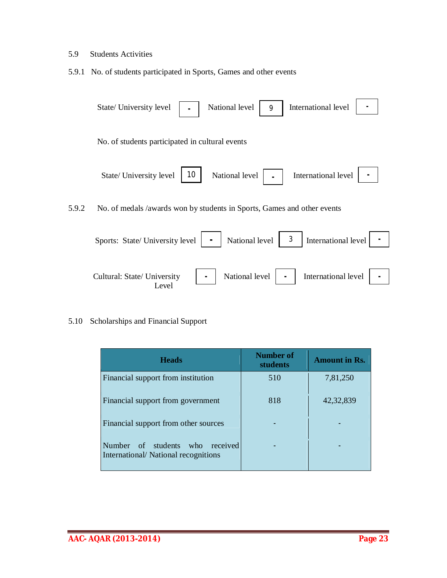#### 5.9 Students Activities

5.9.1 No. of students participated in Sports, Games and other events



#### 5.10 Scholarships and Financial Support

| <b>Heads</b>                                                                 | Number of<br>students | <b>Amount in Rs.</b> |
|------------------------------------------------------------------------------|-----------------------|----------------------|
| Financial support from institution                                           | 510                   | 7,81,250             |
| Financial support from government                                            | 818                   | 42, 32, 839          |
| Financial support from other sources                                         |                       |                      |
| Number of students<br>who<br>received<br>International/National recognitions |                       |                      |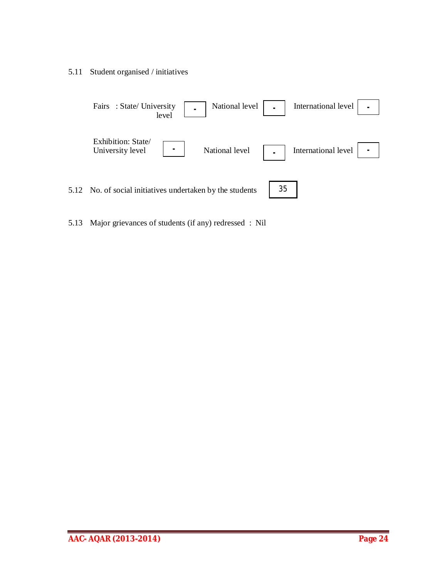5.11 Student organised / initiatives



5.13 Major grievances of students (if any) redressed : Nil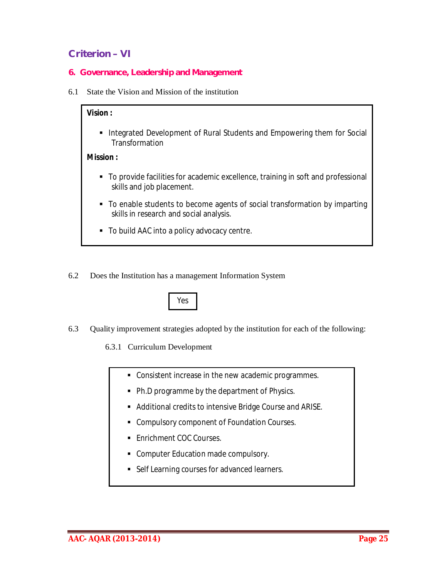## **Criterion – VI**

- **6. Governance, Leadership and Management**
- 6.1 State the Vision and Mission of the institution

## **Vision :**

**Integrated Development of Rural Students and Empowering them for Social** Transformation

## **Mission :**

- To provide facilities for academic excellence, training in soft and professional skills and job placement.
- To enable students to become agents of social transformation by imparting skills in research and social analysis.
- To build AAC into a policy advocacy centre.
- 6.2 Does the Institution has a management Information System



- 6.3 Quality improvement strategies adopted by the institution for each of the following:
	- 6.3.1 Curriculum Development
		- Consistent increase in the new academic programmes.
		- Ph.D programme by the department of Physics.
		- Additional credits to intensive Bridge Course and ARISE.
		- **Compulsory component of Foundation Courses.**
		- **Enrichment COC Courses.**
		- **-** Computer Education made compulsory.
		- **Self Learning courses for advanced learners.**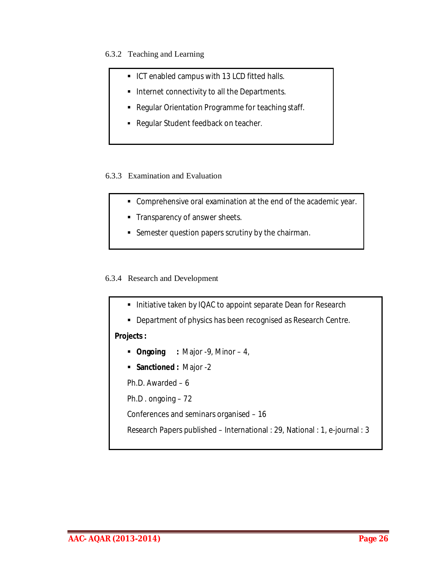6.3.2 Teaching and Learning

- **ICT enabled campus with 13 LCD fitted halls.**
- **Internet connectivity to all the Departments.**
- **-** Regular Orientation Programme for teaching staff.
- Regular Student feedback on teacher.

## 6.3.3 Examination and Evaluation

- Comprehensive oral examination at the end of the academic year.
- Transparency of answer sheets.
- **Semester question papers scrutiny by the chairman.**

## 6.3.4 Research and Development

- Initiative taken by IQAC to appoint separate Dean for Research
- **-** Department of physics has been recognised as Research Centre.

## **Projects :**

- **Ongoing :** Major -9, Minor 4,
- **Sanctioned :** Major -2
- Ph.D. Awarded 6
- Ph.D . ongoing 72
- Conferences and seminars organised 16
- Research Papers published International : 29, National : 1, e-journal : 3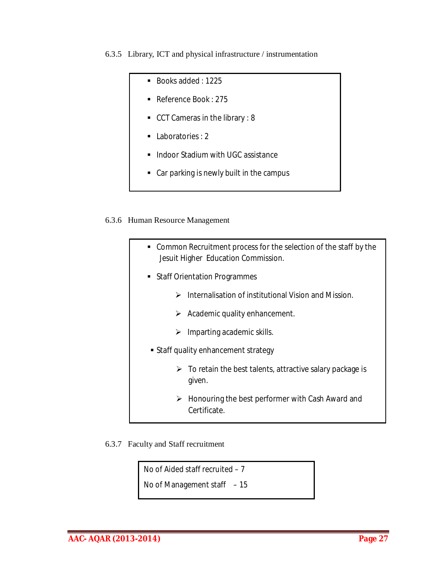6.3.5 Library, ICT and physical infrastructure / instrumentation

- Books added: 1225
	- Reference Book: 275
	- CCT Cameras in the library : 8
- Laboratories : 2
- **Indoor Stadium with UGC assistance**
- Car parking is newly built in the campus

## 6.3.6 Human Resource Management

- Common Recruitment process for the selection of the staff by the Jesuit Higher Education Commission. **Staff Orientation Programmes**  $\triangleright$  Internalisation of institutional Vision and Mission.  $\triangleright$  Academic quality enhancement.  $\triangleright$  Imparting academic skills. Staff quality enhancement strategy  $\triangleright$  To retain the best talents, attractive salary package is given.  $\triangleright$  Honouring the best performer with Cash Award and Certificate.
- 6.3.7 Faculty and Staff recruitment

No of Aided staff recruited – 7

No of Management staff – 15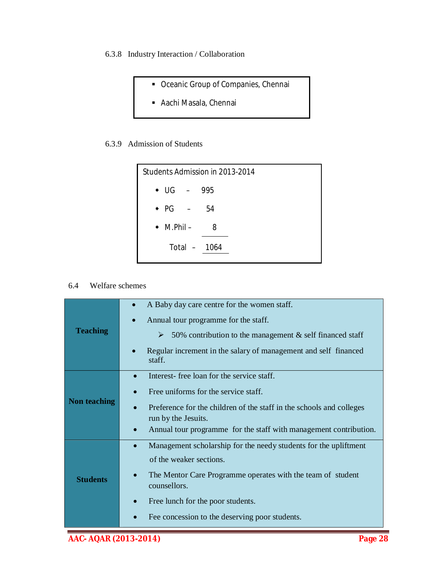- 6.3.8 Industry Interaction / Collaboration
	- Oceanic Group of Companies, Chennai
	- Aachi Masala, Chennai

#### 6.3.9 Admission of Students



## 6.4 Welfare schemes

|                     | A Baby day care centre for the women staff.                                              |
|---------------------|------------------------------------------------------------------------------------------|
|                     | Annual tour programme for the staff.                                                     |
| <b>Teaching</b>     | 50% contribution to the management $\&$ self financed staff<br>➤                         |
|                     | Regular increment in the salary of management and self financed<br>staff.                |
|                     | Interest-free loan for the service staff.                                                |
| <b>Non teaching</b> | Free uniforms for the service staff.                                                     |
|                     | Preference for the children of the staff in the schools and colleges                     |
|                     | run by the Jesuits.<br>Annual tour programme for the staff with management contribution. |
|                     |                                                                                          |
|                     | Management scholarship for the needy students for the upliftment                         |
|                     | of the weaker sections.                                                                  |
| <b>Students</b>     | The Mentor Care Programme operates with the team of student<br>counsellors.              |
|                     | Free lunch for the poor students.                                                        |
|                     | Fee concession to the deserving poor students.                                           |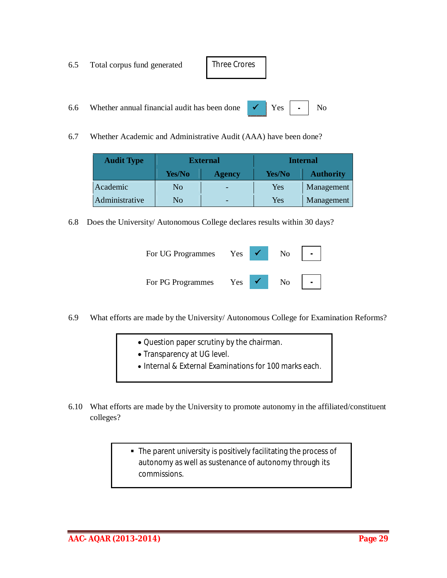| 6.5 Total corpus fund generated                                                                            | Three Crores |  |  |
|------------------------------------------------------------------------------------------------------------|--------------|--|--|
|                                                                                                            |              |  |  |
| 6.6 Whether annual financial audit has been done $\mathbf{V}$ $\mathbf{Y}$ es $\mathbf{V}$ $\mathbf{V}$ No |              |  |  |

6.7 Whether Academic and Administrative Audit (AAA) have been done?

| <b>Audit Type</b> | <b>External</b> |               |            | <b>Internal</b>  |
|-------------------|-----------------|---------------|------------|------------------|
|                   | Yes/No          | <b>Agency</b> | Yes/No     | <b>Authority</b> |
| Academic          | N <sub>0</sub>  |               | <b>Yes</b> | Management       |
| Administrative    | No              |               | Yes        | Management       |

6.8 Does the University/ Autonomous College declares results within 30 days?

| For UG Programmes | <b>Yes</b> | No |  |
|-------------------|------------|----|--|
| For PG Programmes | Yes        | No |  |

- 6.9 What efforts are made by the University/ Autonomous College for Examination Reforms?
	- Question paper scrutiny by the chairman.
	- Transparency at UG level.
	- Internal & External Examinations for 100 marks each.
- 6.10 What efforts are made by the University to promote autonomy in the affiliated/constituent colleges?
	- The parent university is positively facilitating the process of autonomy as well as sustenance of autonomy through its commissions.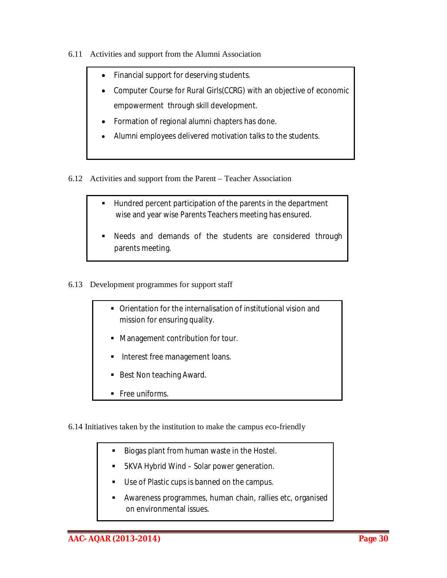- 6.11 Activities and support from the Alumni Association
	- Financial support for deserving students.
	- Computer Course for Rural Girls(CCRG) with an objective of economic empowerment through skill development.
	- Formation of regional alumni chapters has done.
	- Alumni employees delivered motivation talks to the students.
- 6.12 Activities and support from the Parent Teacher Association
	- Hundred percent participation of the parents in the department wise and year wise Parents Teachers meeting has ensured.
	- Needs and demands of the students are considered through parents meeting.
- 6.13 Development programmes for support staff

j.

- Orientation for the internalisation of institutional vision and mission for ensuring quality.
- **Management contribution for tour.**
- Interest free management loans.
- Best Non teaching Award.
- **Free uniforms.**
- 6.14 Initiatives taken by the institution to make the campus eco-friendly
	- Biogas plant from human waste in the Hostel.
	- 5KVA Hybrid Wind Solar power generation.
	- Use of Plastic cups is banned on the campus.
	- Awareness programmes, human chain, rallies etc, organised on environmental issues.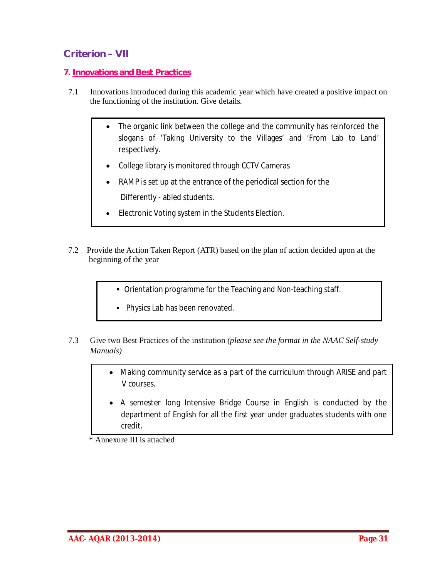## **Criterion – VII**

## **7. Innovations and Best Practices**

- 7.1 Innovations introduced during this academic year which have created a positive impact on the functioning of the institution. Give details.
	- The organic link between the college and the community has reinforced the slogans of 'Taking University to the Villages' and 'From Lab to Land' respectively.
	- College library is monitored through CCTV Cameras
	- RAMP is set up at the entrance of the periodical section for the Differently - abled students.
	- Electronic Voting system in the Students Election.
- 7.2 Provide the Action Taken Report (ATR) based on the plan of action decided upon at the beginning of the year
	- Orientation programme for the Teaching and Non-teaching staff.
	- **Physics Lab has been renovated.**
- 7.3 Give two Best Practices of the institution *(please see the format in the NAAC Self-study Manuals)*
	- Making community service as a part of the curriculum through ARISE and part V courses.
	- A semester long Intensive Bridge Course in English is conducted by the department of English for all the first year under graduates students with one credit.

\* Annexure III is attached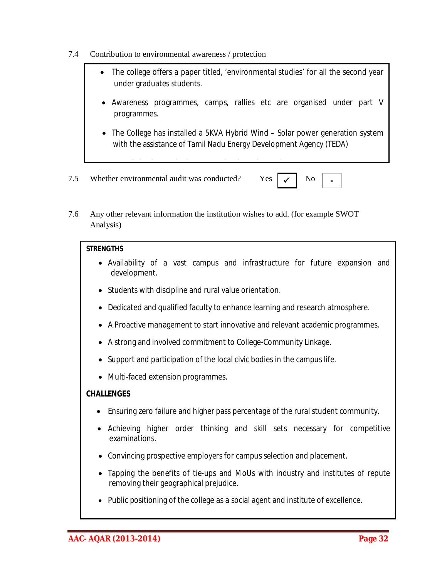- 7.4 Contribution to environmental awareness / protection
	- The college offers a paper titled, 'environmental studies' for all the second year under graduates students.
	- Awareness programmes, camps, rallies etc are organised under part V programmes.
	- The College has installed a 5KVA Hybrid Wind Solar power generation system with the assistance of Tamil Nadu Energy Development Agency (TEDA)

**-**

- 7.5 Whether environmental audit was conducted? Yes
- 7.6 Any other relevant information the institution wishes to add. (for example SWOT Analysis)

Use of plastic cups in the campus has been banned.

#### **STRENGTHS**

- Availability of a vast campus and infrastructure for future expansion and development.
- Students with discipline and rural value orientation.
- Dedicated and qualified faculty to enhance learning and research atmosphere.
- A Proactive management to start innovative and relevant academic programmes.
- A strong and involved commitment to College-Community Linkage.
- Support and participation of the local civic bodies in the campus life.
- Multi-faced extension programmes.

#### **CHALLENGES**

- Ensuring zero failure and higher pass percentage of the rural student community.
- Achieving higher order thinking and skill sets necessary for competitive examinations.
- Convincing prospective employers for campus selection and placement.
- Tapping the benefits of tie-ups and MoUs with industry and institutes of repute removing their geographical prejudice.
- Public positioning of the college as a social agent and institute of excellence.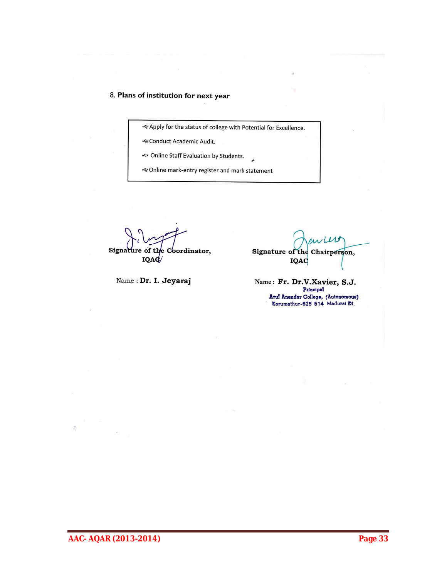#### 8. Plans of institution for next year

<2 Apply for the status of college with Potential for Excellence.

& Conduct Academic Audit.

<<< Online Staff Evaluation by Students.

e Online mark-entry register and mark statement

Signature of the Coordinator, **IQAC** 

Name: Dr. I. Jeyaraj

Signature of the Chairperson, IQAC

Name: Fr. Dr.V.Xavier, S.J. Principal Arul Anendar College, (Autonomous)<br>Karumathur-625 514 Madurai Di.

**AAC- AQAR (2013-2014) Page 33**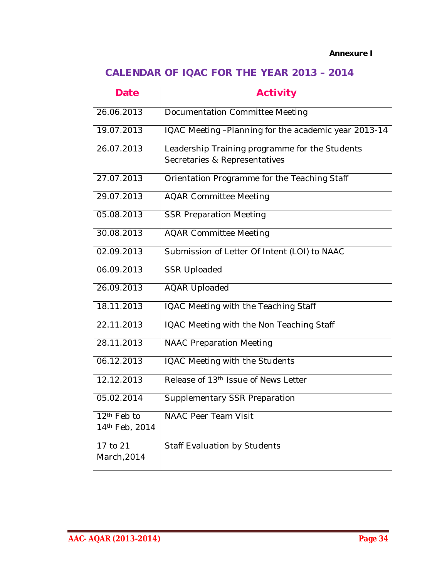## *Annexure I*

## **CALENDAR OF IQAC FOR THE YEAR 2013 – 2014**

| <b>Date</b>                               | <b>Activity</b>                                                                 |
|-------------------------------------------|---------------------------------------------------------------------------------|
| 26.06.2013                                | Documentation Committee Meeting                                                 |
| 19.07.2013                                | IQAC Meeting -Planning for the academic year 2013-14                            |
| 26.07.2013                                | Leadership Training programme for the Students<br>Secretaries & Representatives |
| 27.07.2013                                | Orientation Programme for the Teaching Staff                                    |
| 29.07.2013                                | <b>AQAR Committee Meeting</b>                                                   |
| 05.08.2013                                | <b>SSR Preparation Meeting</b>                                                  |
| 30.08.2013                                | <b>AQAR Committee Meeting</b>                                                   |
| 02.09.2013                                | Submission of Letter Of Intent (LOI) to NAAC                                    |
| 06.09.2013                                | <b>SSR Uploaded</b>                                                             |
| 26.09.2013                                | <b>AQAR Uploaded</b>                                                            |
| 18.11.2013                                | IQAC Meeting with the Teaching Staff                                            |
| 22.11.2013                                | IQAC Meeting with the Non Teaching Staff                                        |
| 28.11.2013                                | <b>NAAC Preparation Meeting</b>                                                 |
| 06.12.2013                                | IQAC Meeting with the Students                                                  |
| 12.12.2013                                | Release of 13th Issue of News Letter                                            |
| 05.02.2014                                | <b>Supplementary SSR Preparation</b>                                            |
| 12 <sup>th</sup> Feb to<br>14th Feb, 2014 | <b>NAAC Peer Team Visit</b>                                                     |
| 17 to 21<br>March, 2014                   | Staff Evaluation by Students                                                    |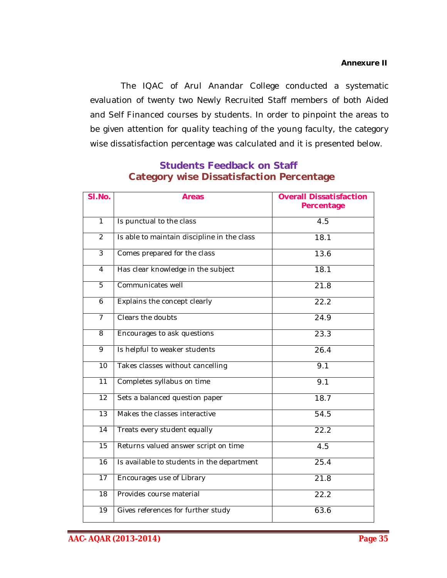The IQAC of Arul Anandar College conducted a systematic evaluation of twenty two Newly Recruited Staff members of both Aided and Self Financed courses by students. In order to pinpoint the areas to be given attention for quality teaching of the young faculty, the category wise dissatisfaction percentage was calculated and it is presented below.

| SI.No.          | <b>Areas</b>                                | <b>Overall Dissatisfaction</b><br>Percentage |
|-----------------|---------------------------------------------|----------------------------------------------|
| $\overline{1}$  | Is punctual to the class                    | $\overline{4.5}$                             |
| 2               | Is able to maintain discipline in the class | 18.1                                         |
| $\overline{3}$  | Comes prepared for the class                | 13.6                                         |
| $\overline{4}$  | Has clear knowledge in the subject          | 18.1                                         |
| $\overline{5}$  | Communicates well                           | 21.8                                         |
| 6               | Explains the concept clearly                | 22.2                                         |
| $\overline{7}$  | Clears the doubts                           | 24.9                                         |
| 8               | Encourages to ask questions                 | 23.3                                         |
| 9               | Is helpful to weaker students               | 26.4                                         |
| 10              | Takes classes without cancelling            | 9.1                                          |
| 11              | Completes syllabus on time                  | 9.1                                          |
| 12              | Sets a balanced question paper              | 18.7                                         |
| $\overline{13}$ | Makes the classes interactive               | 54.5                                         |
| 14              | Treats every student equally                | 22.2                                         |
| 15              | Returns valued answer script on time        | 4.5                                          |
| $\overline{16}$ | Is available to students in the department  | 25.4                                         |
| $\overline{17}$ | Encourages use of Library                   | 21.8                                         |
| $\overline{18}$ | Provides course material                    | 22.2                                         |
| 19              | Gives references for further study          | 63.6                                         |

## **Students Feedback on Staff Category wise Dissatisfaction Percentage**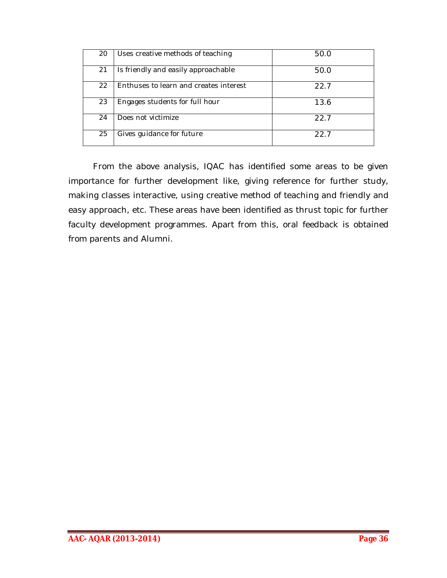| 20 | Uses creative methods of teaching      | 50.0 |
|----|----------------------------------------|------|
| 21 | Is friendly and easily approachable    | 50.0 |
| 22 | Enthuses to learn and creates interest | 22.7 |
| 23 | Engages students for full hour         | 13.6 |
| 24 | Does not victimize                     | 22.7 |
| 25 | Gives guidance for future              | 22.7 |

From the above analysis, IQAC has identified some areas to be given importance for further development like, giving reference for further study, making classes interactive, using creative method of teaching and friendly and easy approach, etc. These areas have been identified as thrust topic for further faculty development programmes. Apart from this, oral feedback is obtained from parents and Alumni.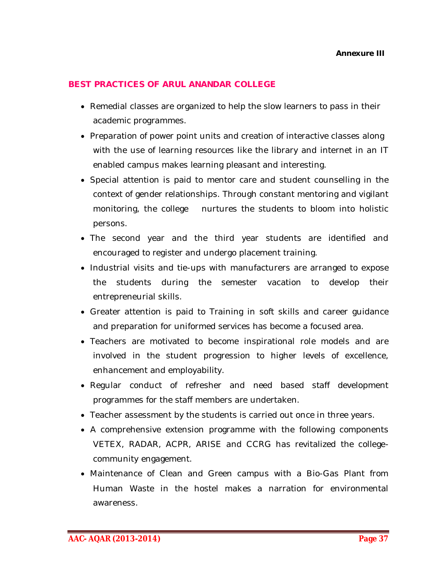## **BEST PRACTICES OF ARUL ANANDAR COLLEGE**

- Remedial classes are organized to help the slow learners to pass in their academic programmes.
- Preparation of power point units and creation of interactive classes along with the use of learning resources like the library and internet in an IT enabled campus makes learning pleasant and interesting.
- Special attention is paid to mentor care and student counselling in the context of gender relationships. Through constant mentoring and vigilant monitoring, the college nurtures the students to bloom into holistic persons.
- The second year and the third year students are identified and encouraged to register and undergo placement training.
- Industrial visits and tie-ups with manufacturers are arranged to expose the students during the semester vacation to develop their entrepreneurial skills.
- Greater attention is paid to Training in soft skills and career guidance and preparation for uniformed services has become a focused area.
- Teachers are motivated to become inspirational role models and are involved in the student progression to higher levels of excellence, enhancement and employability.
- Regular conduct of refresher and need based staff development programmes for the staff members are undertaken.
- Teacher assessment by the students is carried out once in three years.
- A comprehensive extension programme with the following components VETEX, RADAR, ACPR, ARISE and CCRG has revitalized the collegecommunity engagement.
- Maintenance of Clean and Green campus with a Bio-Gas Plant from Human Waste in the hostel makes a narration for environmental awareness.